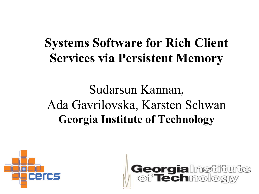#### **Systems Software for Rich Client Services via Persistent Memory**

#### Sudarsun Kannan, Ada Gavrilovska, Karsten Schwan **Georgia Institute of Technology**



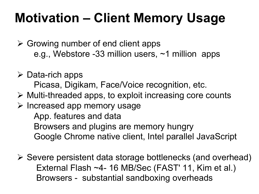# **Motivation – Client Memory Usage**

- $\triangleright$  Growing number of end client apps e.g., Webstore -33 million users, ~1 million apps
- $\triangleright$  Data-rich apps Picasa, Digikam, Face/Voice recognition, etc.
- $\triangleright$  Multi-threaded apps, to exploit increasing core counts
- $\triangleright$  Increased app memory usage

 App. features and data Browsers and plugins are memory hungry Google Chrome native client, Intel parallel JavaScript

 $\triangleright$  Severe persistent data storage bottlenecks (and overhead) External Flash ~4- 16 MB/Sec (FAST' 11, Kim et al.) Browsers - substantial sandboxing overheads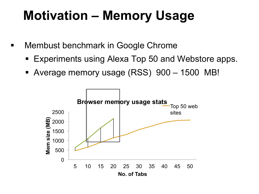#### **Motivation – Memory Usage**

- Membust benchmark in Google Chrome
	- Experiments using Alexa Top 50 and Webstore apps.
	- § Average memory usage (RSS) 900 1500 MB!

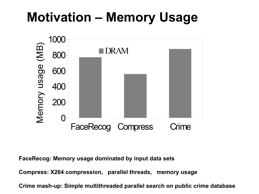# **Motivation – Memory Usage**



**FaceRecog: Memory usage dominated by input data sets** 

**Compress: X264 compression, parallel threads, memory usage** 

**Crime mash-up: Simple multithreaded parallel search on public crime database**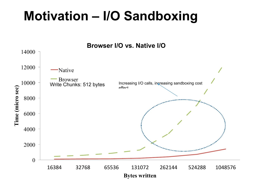# **Motivation – I/O Sandboxing**

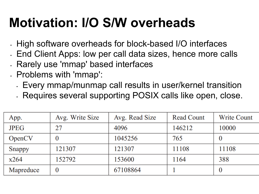# **Motivation: I/O S/W overheads**

- High software overheads for block-based I/O interfaces
- End Client Apps: low per call data sizes, hence more calls
- Rarely use 'mmap' based interfaces
- Problems with 'mmap':
	- Every mmap/munmap call results in user/kernel transition
	- Requires several supporting POSIX calls like open, close.

| App.        | Avg. Write Size | Avg. Read Size | <b>Read Count</b> | <b>Write Count</b> |
|-------------|-----------------|----------------|-------------------|--------------------|
| <b>JPEG</b> | 27              | 4096           | 146212            | 10000              |
| OpenCV      |                 | 1045256        | 765               |                    |
| Snappy      | 121307          | 121307         | 11108             | 11108              |
| x264        | 152792          | 153600         | 1164              | 388                |
| Mapreduce   |                 | 67108864       |                   |                    |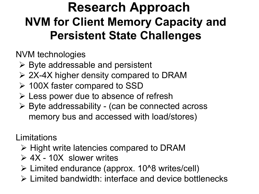#### **Research Approach NVM for Client Memory Capacity and Persistent State Challenges**

NVM technologies

- $\triangleright$  Byte addressable and persistent
- $\geq$  2X-4X higher density compared to DRAM
- Ø 100X faster compared to SSD
- $\triangleright$  Less power due to absence of refresh
- $\triangleright$  Byte addressability (can be connected across memory bus and accessed with load/stores)

#### Limitations

- Ø Hight write latencies compared to DRAM
- $\triangleright$  4X 10X slower writes
- Ø Limited endurance (approx. 10^8 writes/cell)
- $\triangleright$  Limited bandwidth: interface and device bottlenecks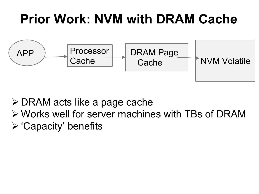# **Prior Work: NVM with DRAM Cache**



- $\triangleright$  DRAM acts like a page cache
- Ø Works well for server machines with TBs of DRAM  $\triangleright$  'Capacity' benefits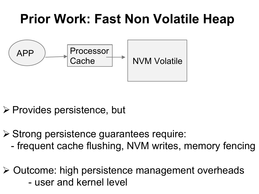# **Prior Work: Fast Non Volatile Heap**



 $\triangleright$  Provides persistence, but

Ø Strong persistence guarantees require:

- frequent cache flushing, NVM writes, memory fencing

Ø Outcome: high persistence management overheads - user and kernel level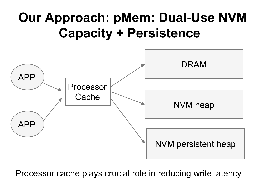### **Our Approach: pMem: Dual-Use NVM Capacity + Persistence**



Processor cache plays crucial role in reducing write latency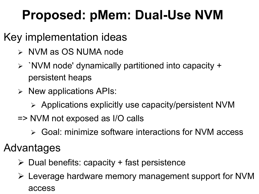# **Proposed: pMem: Dual-Use NVM**

#### Key implementation ideas

- Ø NVM as OS NUMA node
- Ø `NVM node' dynamically partitioned into capacity + persistent heaps
- $\triangleright$  New applications APIs:
	- Ø Applications explicitly use capacity/persistent NVM
- => NVM not exposed as I/O calls
	- Ø Goal: minimize software interactions for NVM access

#### Advantages

- $\triangleright$  Dual benefits: capacity + fast persistence
- Ø Leverage hardware memory management support for NVM access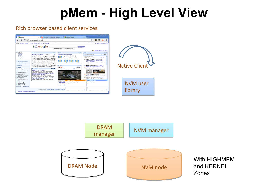# **pMem - High Level View**

#### Rich browser based client services





With HIGHMEM and KERNEL Zones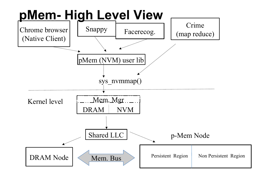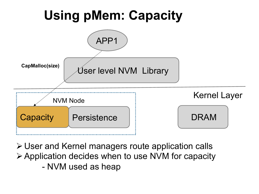

 $\triangleright$  User and Kernel managers route application calls ØApplication decides when to use NVM for capacity - NVM used as heap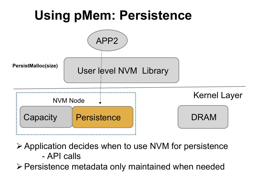

 $\triangleright$  Application decides when to use NVM for persistence - API calls

 $\triangleright$  Persistence metadata only maintained when needed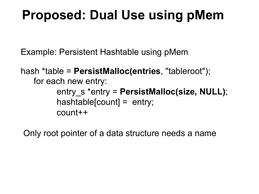### **Proposed: Dual Use using pMem**

Example: Persistent Hashtable using pMem

hash \*table = **PersistMalloc(entries**, "tableroot"); for each new entry: entry\_s \*entry = **PersistMalloc(size, NULL)**; hashtable[count] = entry; count++

Only root pointer of a data structure needs a name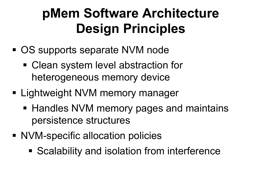# **pMem Software Architecture Design Principles**

- OS supports separate NVM node
	- Clean system level abstraction for heterogeneous memory device
- Lightweight NVM memory manager
	- Handles NVM memory pages and maintains persistence structures
- § NVM-specific allocation policies
	- Scalability and isolation from interference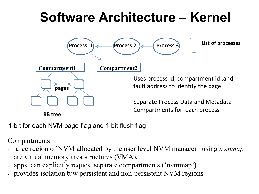# **Software Architecture – Kernel**



1 bit for each NVM page flag and 1 bit flush flag

Compartments:

- large region of NVM allocated by the user level NVM manager using *nvmmap*
- are virtual memory area structures (VMA),
- apps. can explicitly request separate compartments ('nvmmap')
- provides isolation b/w persistent and non-persistent NVM regions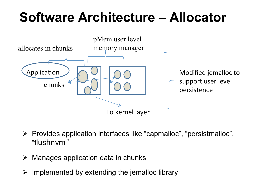# **Software Architecture – Allocator**



- $\triangleright$  Provides application interfaces like "capmalloc", "persistmalloc", "flushnvm*"*
- $\triangleright$  Manages application data in chunks
- $\triangleright$  Implemented by extending the jemalloc library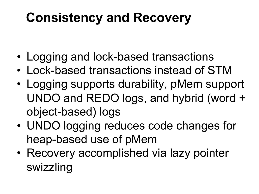# **Consistency and Recovery**

- Logging and lock-based transactions
- Lock-based transactions instead of STM
- Logging supports durability, pMem support UNDO and REDO logs, and hybrid (word + object-based) logs
- UNDO logging reduces code changes for heap-based use of pMem
- Recovery accomplished via lazy pointer swizzling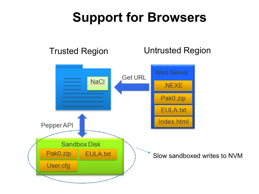### **Support for Browsers**

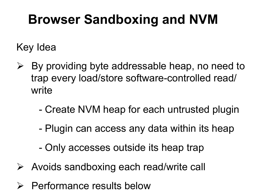# **Browser Sandboxing and NVM**

Key Idea

- $\triangleright$  By providing byte addressable heap, no need to trap every load/store software-controlled read/ write
	- Create NVM heap for each untrusted plugin
	- Plugin can access any data within its heap
	- Only accesses outside its heap trap
- $\triangleright$  Avoids sandboxing each read/write call
- $\triangleright$  Performance results below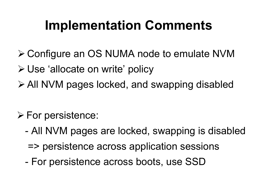# **Implementation Comments**

- Ø Configure an OS NUMA node to emulate NVM
- Ø Use 'allocate on write' policy
- Ø All NVM pages locked, and swapping disabled

#### $\triangleright$  For persistence:

- All NVM pages are locked, swapping is disabled
	- => persistence across application sessions
- For persistence across boots, use SSD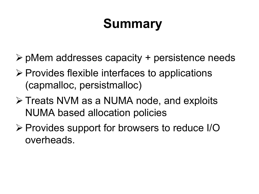# **Summary**

- $\triangleright$  pMem addresses capacity + persistence needs
- $\triangleright$  Provides flexible interfaces to applications (capmalloc, persistmalloc)
- Ø Treats NVM as a NUMA node, and exploits NUMA based allocation policies
- Ø Provides support for browsers to reduce I/O overheads.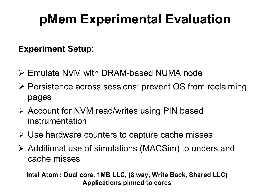# **pMem Experimental Evaluation**

#### **Experiment Setup**:

- Ø Emulate NVM with DRAM-based NUMA node
- Ø Persistence across sessions: prevent OS from reclaiming pages
- Ø Account for NVM read/writes using PIN based instrumentation
- $\triangleright$  Use hardware counters to capture cache misses
- $\triangleright$  Additional use of simulations (MACSim) to understand cache misses

**Intel Atom : Dual core, 1MB LLC, (8 way, Write Back, Shared LLC) Applications pinned to cores**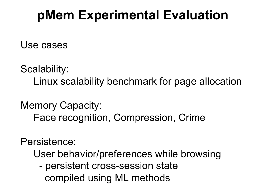# **pMem Experimental Evaluation**

Use cases

Scalability:

Linux scalability benchmark for page allocation

Memory Capacity: Face recognition, Compression, Crime

Persistence:

- User behavior/preferences while browsing
	- persistent cross-session state compiled using ML methods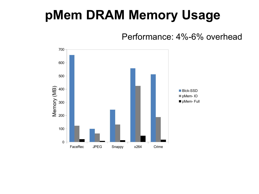# **pMem DRAM Memory Usage pMem Memory (DRAM) Usage**

Performance: 4%-6% overhead

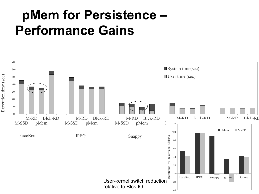### **pMem for Persistence – Performance Gains**



 $-40$ 

Execution time (se  $\widehat{\circ}$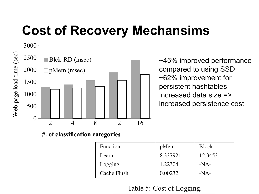# **Cost of Recovery Mechansims**



~45% improved performance compared to using SSD ~62% improvement for persistent hashtables Increased data size => increased persistence cost

**#. of classification categories**

| Function    | pMem     | <b>Block</b> |
|-------------|----------|--------------|
| Learn       | 8.337921 | 12.3453      |
| Logging     | 1.22304  | $-NA-$       |
| Cache Flush | 0.00232  | $-NA-$       |

Table 5: Cost of Logging.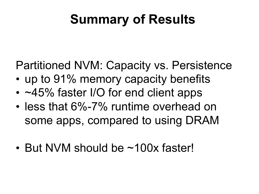# **Summary of Results**

Partitioned NVM: Capacity vs. Persistence

- up to 91% memory capacity benefits
- ~45% faster I/O for end client apps
- less that 6%-7% runtime overhead on some apps, compared to using DRAM
- But NVM should be ~100x faster!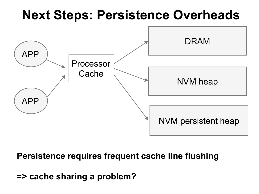#### **Next Steps: Persistence Overheads**



**Persistence requires frequent cache line flushing** 

**=> cache sharing a problem?**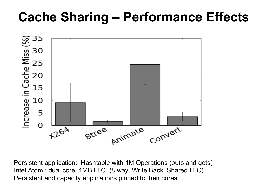# **Cache Sharing – Performance Effects**



Persistent application: Hashtable with 1M Operations (puts and gets) Intel Atom : dual core, 1MB LLC, (8 way, Write Back, Shared LLC) Persistent and capacity applications pinned to their cores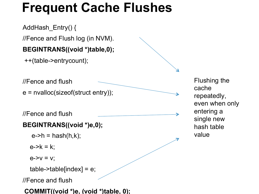### **Frequent Cache Flushes**

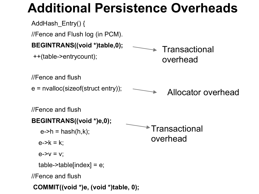#### **Additional Persistence Overheads**

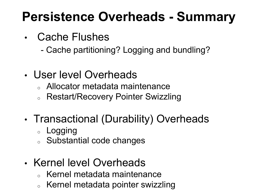# **Persistence Overheads - Summary**

- Cache Flushes
	- Cache partitioning? Logging and bundling?
- User level Overheads
	- <sup>o</sup> Allocator metadata maintenance
	- <sup>o</sup> Restart/Recovery Pointer Swizzling
- Transactional (Durability) Overheads
	- <sup>o</sup> Logging
	- <sup>o</sup> Substantial code changes
- Kernel level Overheads
	- <sup>o</sup> Kernel metadata maintenance
	- Kernel metadata pointer swizzling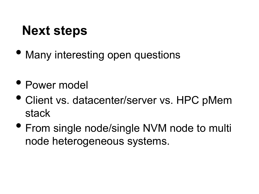# **Next steps**

- Many interesting open questions
- Power model
- Client vs. datacenter/server vs. HPC pMem stack
- From single node/single NVM node to multi node heterogeneous systems.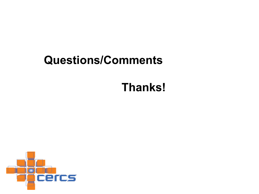#### **Questions/Comments**

#### **Thanks!**